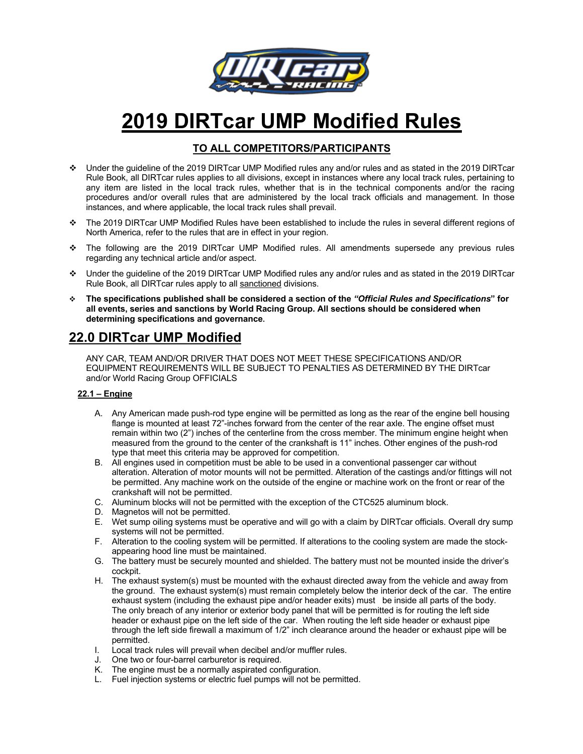

# **2019 DIRTcar UMP Modified Rules**

### **TO ALL COMPETITORS/PARTICIPANTS**

- v Under the guideline of the 2019 DIRTcar UMP Modified rules any and/or rules and as stated in the 2019 DIRTcar Rule Book, all DIRTcar rules applies to all divisions, except in instances where any local track rules, pertaining to any item are listed in the local track rules, whether that is in the technical components and/or the racing procedures and/or overall rules that are administered by the local track officials and management. In those instances, and where applicable, the local track rules shall prevail.
- v The 2019 DIRTcar UMP Modified Rules have been established to include the rules in several different regions of North America, refer to the rules that are in effect in your region.
- \* The following are the 2019 DIRTcar UMP Modified rules. All amendments supersede any previous rules regarding any technical article and/or aspect.
- v Under the guideline of the 2019 DIRTcar UMP Modified rules any and/or rules and as stated in the 2019 DIRTcar Rule Book, all DIRTcar rules apply to all sanctioned divisions.
- v **The specifications published shall be considered a section of the** *"Official Rules and Specifications***" for all events, series and sanctions by World Racing Group. All sections should be considered when determining specifications and governance.**

## **22.0 DIRTcar UMP Modified**

ANY CAR, TEAM AND/OR DRIVER THAT DOES NOT MEET THESE SPECIFICATIONS AND/OR EQUIPMENT REQUIREMENTS WILL BE SUBJECT TO PENALTIES AS DETERMINED BY THE DIRTcar and/or World Racing Group OFFICIALS

#### **22.1 – Engine**

- A. Any American made push-rod type engine will be permitted as long as the rear of the engine bell housing flange is mounted at least 72"-inches forward from the center of the rear axle. The engine offset must remain within two (2") inches of the centerline from the cross member. The minimum engine height when measured from the ground to the center of the crankshaft is 11" inches. Other engines of the push-rod type that meet this criteria may be approved for competition.
- B. All engines used in competition must be able to be used in a conventional passenger car without alteration. Alteration of motor mounts will not be permitted. Alteration of the castings and/or fittings will not be permitted. Any machine work on the outside of the engine or machine work on the front or rear of the crankshaft will not be permitted.
- C. Aluminum blocks will not be permitted with the exception of the CTC525 aluminum block.
- D. Magnetos will not be permitted.
- E. Wet sump oiling systems must be operative and will go with a claim by DIRTcar officials. Overall dry sump systems will not be permitted.
- F. Alteration to the cooling system will be permitted. If alterations to the cooling system are made the stockappearing hood line must be maintained.
- G. The battery must be securely mounted and shielded. The battery must not be mounted inside the driver's cockpit.
- H. The exhaust system(s) must be mounted with the exhaust directed away from the vehicle and away from the ground. The exhaust system(s) must remain completely below the interior deck of the car. The entire exhaust system (including the exhaust pipe and/or header exits) must be inside all parts of the body. The only breach of any interior or exterior body panel that will be permitted is for routing the left side header or exhaust pipe on the left side of the car. When routing the left side header or exhaust pipe through the left side firewall a maximum of 1/2" inch clearance around the header or exhaust pipe will be permitted.
- I. Local track rules will prevail when decibel and/or muffler rules.
- J. One two or four-barrel carburetor is required.
- K. The engine must be a normally aspirated configuration.
- L. Fuel injection systems or electric fuel pumps will not be permitted.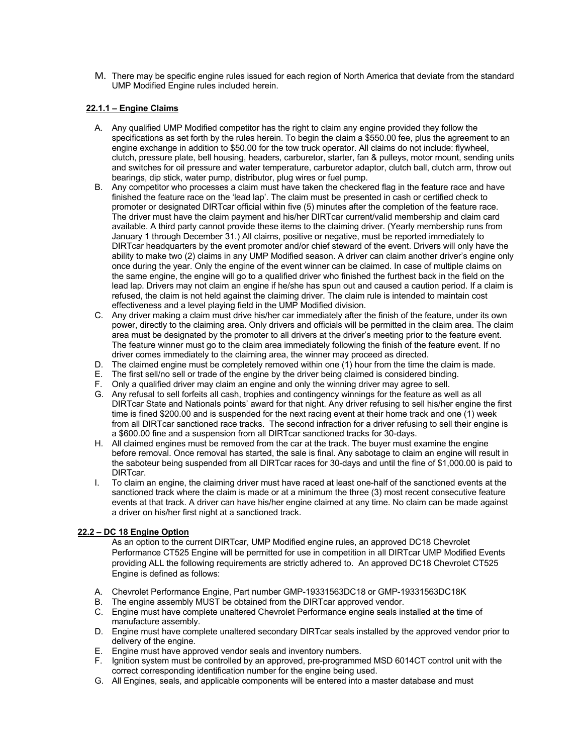M. There may be specific engine rules issued for each region of North America that deviate from the standard UMP Modified Engine rules included herein.

#### **22.1.1 – Engine Claims**

- A. Any qualified UMP Modified competitor has the right to claim any engine provided they follow the specifications as set forth by the rules herein. To begin the claim a \$550.00 fee, plus the agreement to an engine exchange in addition to \$50.00 for the tow truck operator. All claims do not include: flywheel, clutch, pressure plate, bell housing, headers, carburetor, starter, fan & pulleys, motor mount, sending units and switches for oil pressure and water temperature, carburetor adaptor, clutch ball, clutch arm, throw out bearings, dip stick, water pump, distributor, plug wires or fuel pump.
- B. Any competitor who processes a claim must have taken the checkered flag in the feature race and have finished the feature race on the 'lead lap'. The claim must be presented in cash or certified check to promoter or designated DIRTcar official within five (5) minutes after the completion of the feature race. The driver must have the claim payment and his/her DIRTcar current/valid membership and claim card available. A third party cannot provide these items to the claiming driver. (Yearly membership runs from January 1 through December 31.) All claims, positive or negative, must be reported immediately to DIRTcar headquarters by the event promoter and/or chief steward of the event. Drivers will only have the ability to make two (2) claims in any UMP Modified season. A driver can claim another driver's engine only once during the year. Only the engine of the event winner can be claimed. In case of multiple claims on the same engine, the engine will go to a qualified driver who finished the furthest back in the field on the lead lap. Drivers may not claim an engine if he/she has spun out and caused a caution period. If a claim is refused, the claim is not held against the claiming driver. The claim rule is intended to maintain cost effectiveness and a level playing field in the UMP Modified division.
- C. Any driver making a claim must drive his/her car immediately after the finish of the feature, under its own power, directly to the claiming area. Only drivers and officials will be permitted in the claim area. The claim area must be designated by the promoter to all drivers at the driver's meeting prior to the feature event. The feature winner must go to the claim area immediately following the finish of the feature event. If no driver comes immediately to the claiming area, the winner may proceed as directed.
- D. The claimed engine must be completely removed within one (1) hour from the time the claim is made.
- E. The first sell/no sell or trade of the engine by the driver being claimed is considered binding.
- F. Only a qualified driver may claim an engine and only the winning driver may agree to sell.
- G. Any refusal to sell forfeits all cash, trophies and contingency winnings for the feature as well as all DIRTcar State and Nationals points' award for that night. Any driver refusing to sell his/her engine the first time is fined \$200.00 and is suspended for the next racing event at their home track and one (1) week from all DIRTcar sanctioned race tracks. The second infraction for a driver refusing to sell their engine is a \$600.00 fine and a suspension from all DIRTcar sanctioned tracks for 30-days.
- H. All claimed engines must be removed from the car at the track. The buyer must examine the engine before removal. Once removal has started, the sale is final. Any sabotage to claim an engine will result in the saboteur being suspended from all DIRTcar races for 30-days and until the fine of \$1,000.00 is paid to DIRTcar.
- I. To claim an engine, the claiming driver must have raced at least one-half of the sanctioned events at the sanctioned track where the claim is made or at a minimum the three (3) most recent consecutive feature events at that track. A driver can have his/her engine claimed at any time. No claim can be made against a driver on his/her first night at a sanctioned track.

#### **22.2 – DC 18 Engine Option**

As an option to the current DIRTcar, UMP Modified engine rules, an approved DC18 Chevrolet Performance CT525 Engine will be permitted for use in competition in all DIRTcar UMP Modified Events providing ALL the following requirements are strictly adhered to. An approved DC18 Chevrolet CT525 Engine is defined as follows:

- A. Chevrolet Performance Engine, Part number GMP-19331563DC18 or GMP-19331563DC18K
- B. The engine assembly MUST be obtained from the DIRTcar approved vendor.
- C. Engine must have complete unaltered Chevrolet Performance engine seals installed at the time of manufacture assembly.
- D. Engine must have complete unaltered secondary DIRTcar seals installed by the approved vendor prior to delivery of the engine.
- E. Engine must have approved vendor seals and inventory numbers.
- F. Ignition system must be controlled by an approved, pre-programmed MSD 6014CT control unit with the correct corresponding identification number for the engine being used.
- G. All Engines, seals, and applicable components will be entered into a master database and must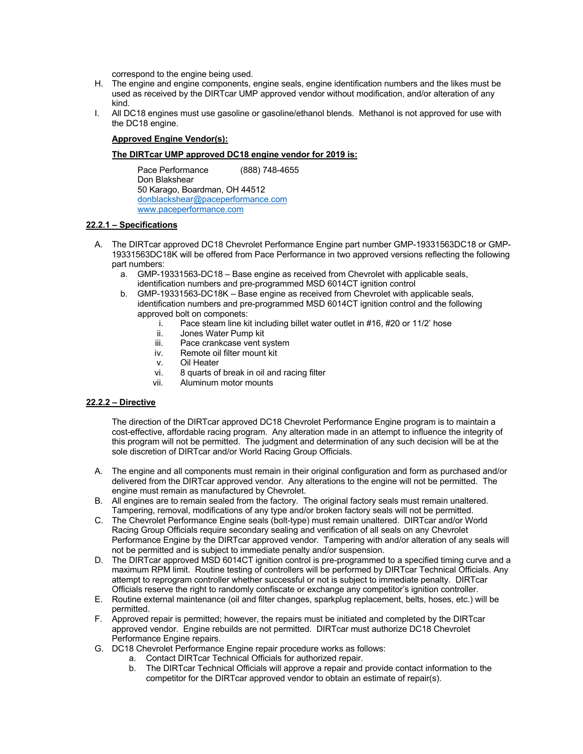correspond to the engine being used.

- H. The engine and engine components, engine seals, engine identification numbers and the likes must be used as received by the DIRTcar UMP approved vendor without modification, and/or alteration of any kind.
- I. All DC18 engines must use gasoline or gasoline/ethanol blends. Methanol is not approved for use with the DC18 engine.

#### **Approved Engine Vendor(s):**

#### **The DIRTcar UMP approved DC18 engine vendor for 2019 is:**

Pace Performance (888) 748-4655 Don Blakshear 50 Karago, Boardman, OH 44512 donblackshear@paceperformance.com www.paceperformance.com

#### **22.2.1 – Specifications**

- A. The DIRTcar approved DC18 Chevrolet Performance Engine part number GMP-19331563DC18 or GMP-19331563DC18K will be offered from Pace Performance in two approved versions reflecting the following part numbers:
	- a. GMP-19331563-DC18 Base engine as received from Chevrolet with applicable seals, identification numbers and pre-programmed MSD 6014CT ignition control
	- b. GMP-19331563-DC18K Base engine as received from Chevrolet with applicable seals, identification numbers and pre-programmed MSD 6014CT ignition control and the following approved bolt on componets:
		- i. Pace steam line kit including billet water outlet in #16, #20 or 11/2' hose
		- ii. Jones Water Pump kit
		- iii. Pace crankcase vent system<br>iv. Remote oil filter mount kit
		- Remote oil filter mount kit
		- v. Oil Heater
		- vi. 8 quarts of break in oil and racing filter
		- vii. Aluminum motor mounts

#### **22.2.2 – Directive**

The direction of the DIRTcar approved DC18 Chevrolet Performance Engine program is to maintain a cost-effective, affordable racing program. Any alteration made in an attempt to influence the integrity of this program will not be permitted. The judgment and determination of any such decision will be at the sole discretion of DIRTcar and/or World Racing Group Officials.

- A. The engine and all components must remain in their original configuration and form as purchased and/or delivered from the DIRTcar approved vendor. Any alterations to the engine will not be permitted. The engine must remain as manufactured by Chevrolet.
- B. All engines are to remain sealed from the factory. The original factory seals must remain unaltered. Tampering, removal, modifications of any type and/or broken factory seals will not be permitted.
- C. The Chevrolet Performance Engine seals (bolt-type) must remain unaltered. DIRTcar and/or World Racing Group Officials require secondary sealing and verification of all seals on any Chevrolet Performance Engine by the DIRTcar approved vendor. Tampering with and/or alteration of any seals will not be permitted and is subject to immediate penalty and/or suspension.
- D. The DIRTcar approved MSD 6014CT ignition control is pre-programmed to a specified timing curve and a maximum RPM limit. Routine testing of controllers will be performed by DIRTcar Technical Officials. Any attempt to reprogram controller whether successful or not is subject to immediate penalty. DIRTcar Officials reserve the right to randomly confiscate or exchange any competitor's ignition controller.
- E. Routine external maintenance (oil and filter changes, sparkplug replacement, belts, hoses, etc.) will be permitted.
- F. Approved repair is permitted; however, the repairs must be initiated and completed by the DIRTcar approved vendor. Engine rebuilds are not permitted. DIRTcar must authorize DC18 Chevrolet Performance Engine repairs.
- G. DC18 Chevrolet Performance Engine repair procedure works as follows:
	- a. Contact DIRTcar Technical Officials for authorized repair.
	- b. The DIRTcar Technical Officials will approve a repair and provide contact information to the competitor for the DIRTcar approved vendor to obtain an estimate of repair(s).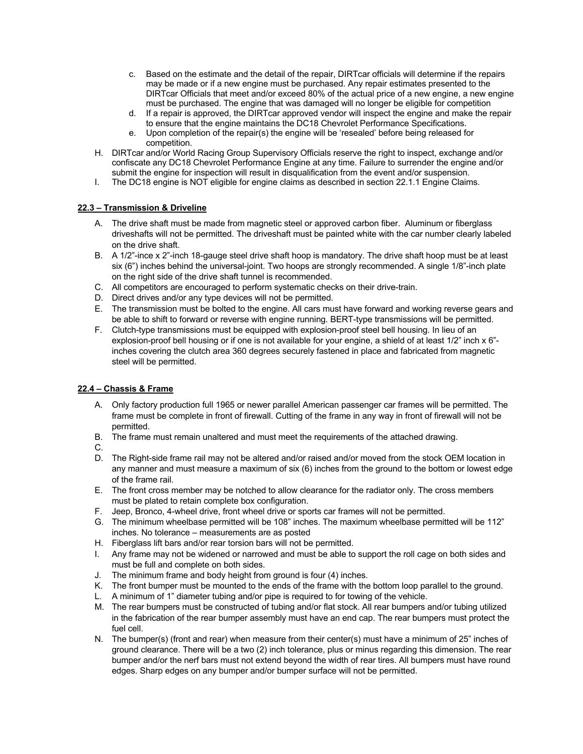- c. Based on the estimate and the detail of the repair, DIRTcar officials will determine if the repairs may be made or if a new engine must be purchased. Any repair estimates presented to the DIRTcar Officials that meet and/or exceed 80% of the actual price of a new engine, a new engine must be purchased. The engine that was damaged will no longer be eligible for competition
- d. If a repair is approved, the DIRTcar approved vendor will inspect the engine and make the repair to ensure that the engine maintains the DC18 Chevrolet Performance Specifications.
- e. Upon completion of the repair(s) the engine will be 'resealed' before being released for competition.
- H. DIRTcar and/or World Racing Group Supervisory Officials reserve the right to inspect, exchange and/or confiscate any DC18 Chevrolet Performance Engine at any time. Failure to surrender the engine and/or submit the engine for inspection will result in disqualification from the event and/or suspension.
- I. The DC18 engine is NOT eligible for engine claims as described in section 22.1.1 Engine Claims.

#### **22.3 – Transmission & Driveline**

- A. The drive shaft must be made from magnetic steel or approved carbon fiber. Aluminum or fiberglass driveshafts will not be permitted. The driveshaft must be painted white with the car number clearly labeled on the drive shaft.
- B. A 1/2"-ince x 2"-inch 18-gauge steel drive shaft hoop is mandatory. The drive shaft hoop must be at least six (6") inches behind the universal-joint. Two hoops are strongly recommended. A single 1/8"-inch plate on the right side of the drive shaft tunnel is recommended.
- C. All competitors are encouraged to perform systematic checks on their drive-train.
- D. Direct drives and/or any type devices will not be permitted.
- E. The transmission must be bolted to the engine. All cars must have forward and working reverse gears and be able to shift to forward or reverse with engine running. BERT-type transmissions will be permitted.
- F. Clutch-type transmissions must be equipped with explosion-proof steel bell housing. In lieu of an explosion-proof bell housing or if one is not available for your engine, a shield of at least 1/2" inch x 6" inches covering the clutch area 360 degrees securely fastened in place and fabricated from magnetic steel will be permitted.

#### **22.4 – Chassis & Frame**

- A. Only factory production full 1965 or newer parallel American passenger car frames will be permitted. The frame must be complete in front of firewall. Cutting of the frame in any way in front of firewall will not be permitted.
- B. The frame must remain unaltered and must meet the requirements of the attached drawing.
- C.
- D. The Right-side frame rail may not be altered and/or raised and/or moved from the stock OEM location in any manner and must measure a maximum of six (6) inches from the ground to the bottom or lowest edge of the frame rail.
- E. The front cross member may be notched to allow clearance for the radiator only. The cross members must be plated to retain complete box configuration.
- F. Jeep, Bronco, 4-wheel drive, front wheel drive or sports car frames will not be permitted.
- G. The minimum wheelbase permitted will be 108" inches. The maximum wheelbase permitted will be 112" inches. No tolerance – measurements are as posted
- H. Fiberglass lift bars and/or rear torsion bars will not be permitted.
- I. Any frame may not be widened or narrowed and must be able to support the roll cage on both sides and must be full and complete on both sides.
- J. The minimum frame and body height from ground is four (4) inches.
- K. The front bumper must be mounted to the ends of the frame with the bottom loop parallel to the ground.
- L. A minimum of 1" diameter tubing and/or pipe is required to for towing of the vehicle.
- M. The rear bumpers must be constructed of tubing and/or flat stock. All rear bumpers and/or tubing utilized in the fabrication of the rear bumper assembly must have an end cap. The rear bumpers must protect the fuel cell.
- N. The bumper(s) (front and rear) when measure from their center(s) must have a minimum of 25" inches of ground clearance. There will be a two (2) inch tolerance, plus or minus regarding this dimension. The rear bumper and/or the nerf bars must not extend beyond the width of rear tires. All bumpers must have round edges. Sharp edges on any bumper and/or bumper surface will not be permitted.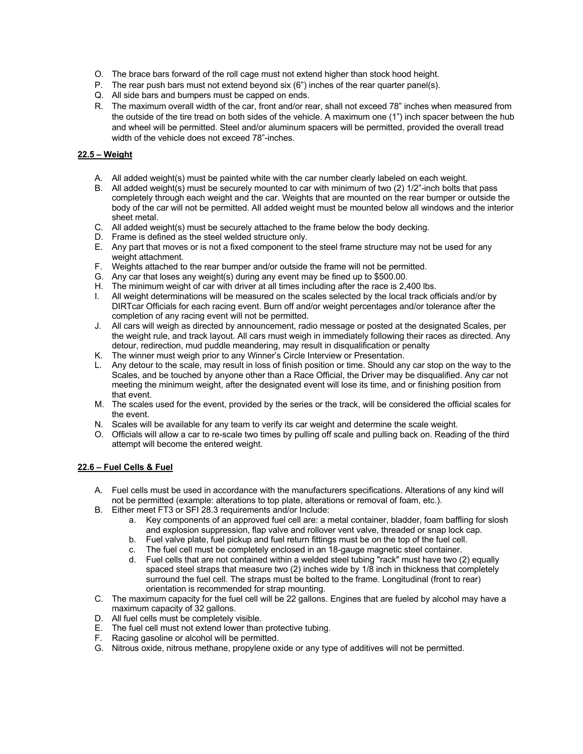- O. The brace bars forward of the roll cage must not extend higher than stock hood height.
- P. The rear push bars must not extend beyond six (6") inches of the rear quarter panel(s).
- Q. All side bars and bumpers must be capped on ends.
- R. The maximum overall width of the car, front and/or rear, shall not exceed 78" inches when measured from the outside of the tire tread on both sides of the vehicle. A maximum one (1") inch spacer between the hub and wheel will be permitted. Steel and/or aluminum spacers will be permitted, provided the overall tread width of the vehicle does not exceed 78"-inches.

#### **22.5 – Weight**

- A. All added weight(s) must be painted white with the car number clearly labeled on each weight.
- B. All added weight(s) must be securely mounted to car with minimum of two (2) 1/2"-inch bolts that pass completely through each weight and the car. Weights that are mounted on the rear bumper or outside the body of the car will not be permitted. All added weight must be mounted below all windows and the interior sheet metal.
- C. All added weight(s) must be securely attached to the frame below the body decking.
- D. Frame is defined as the steel welded structure only.
- E. Any part that moves or is not a fixed component to the steel frame structure may not be used for any weight attachment.
- F. Weights attached to the rear bumper and/or outside the frame will not be permitted.
- G. Any car that loses any weight(s) during any event may be fined up to \$500.00.
- H. The minimum weight of car with driver at all times including after the race is 2,400 lbs.
- I. All weight determinations will be measured on the scales selected by the local track officials and/or by DIRTcar Officials for each racing event. Burn off and/or weight percentages and/or tolerance after the completion of any racing event will not be permitted.
- J. All cars will weigh as directed by announcement, radio message or posted at the designated Scales, per the weight rule, and track layout. All cars must weigh in immediately following their races as directed. Any detour, redirection, mud puddle meandering, may result in disqualification or penalty
- K. The winner must weigh prior to any Winner's Circle Interview or Presentation.
- L. Any detour to the scale, may result in loss of finish position or time. Should any car stop on the way to the Scales, and be touched by anyone other than a Race Official, the Driver may be disqualified. Any car not meeting the minimum weight, after the designated event will lose its time, and or finishing position from that event.
- M. The scales used for the event, provided by the series or the track, will be considered the official scales for the event.
- N. Scales will be available for any team to verify its car weight and determine the scale weight.
- O. Officials will allow a car to re-scale two times by pulling off scale and pulling back on. Reading of the third attempt will become the entered weight.

#### **22.6 – Fuel Cells & Fuel**

- A. Fuel cells must be used in accordance with the manufacturers specifications. Alterations of any kind will not be permitted (example: alterations to top plate, alterations or removal of foam, etc.).
- B. Either meet FT3 or SFI 28.3 requirements and/or Include:
	- a. Key components of an approved fuel cell are: a metal container, bladder, foam baffling for slosh and explosion suppression, flap valve and rollover vent valve, threaded or snap lock cap.
	- b. Fuel valve plate, fuel pickup and fuel return fittings must be on the top of the fuel cell.
	- c. The fuel cell must be completely enclosed in an 18-gauge magnetic steel container.
	- d. Fuel cells that are not contained within a welded steel tubing "rack" must have two (2) equally spaced steel straps that measure two  $(2)$  inches wide by  $1/8$  inch in thickness that completely surround the fuel cell. The straps must be bolted to the frame. Longitudinal (front to rear) orientation is recommended for strap mounting.
- C. The maximum capacity for the fuel cell will be 22 gallons. Engines that are fueled by alcohol may have a maximum capacity of 32 gallons.
- D. All fuel cells must be completely visible.
- E. The fuel cell must not extend lower than protective tubing.
- F. Racing gasoline or alcohol will be permitted.
- G. Nitrous oxide, nitrous methane, propylene oxide or any type of additives will not be permitted.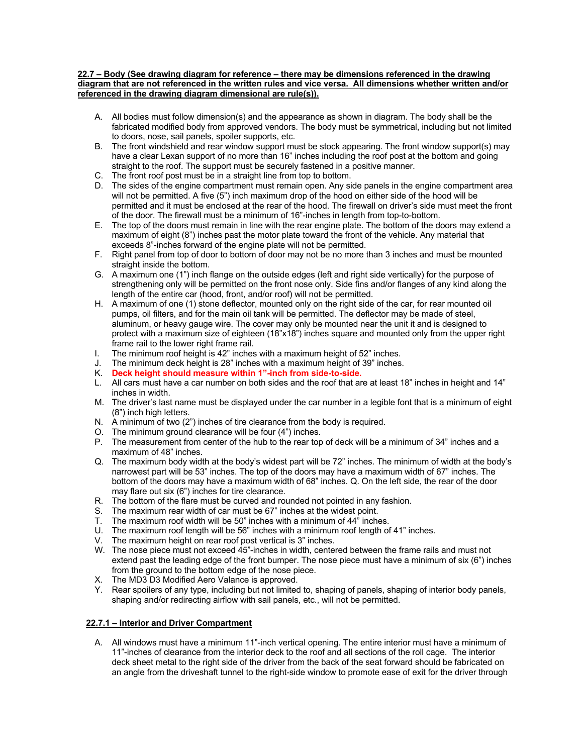#### **22.7 – Body (See drawing diagram for reference – there may be dimensions referenced in the drawing diagram that are not referenced in the written rules and vice versa. All dimensions whether written and/or referenced in the drawing diagram dimensional are rule(s)).**

- A. All bodies must follow dimension(s) and the appearance as shown in diagram. The body shall be the fabricated modified body from approved vendors. The body must be symmetrical, including but not limited to doors, nose, sail panels, spoiler supports, etc.
- B. The front windshield and rear window support must be stock appearing. The front window support(s) may have a clear Lexan support of no more than 16" inches including the roof post at the bottom and going straight to the roof. The support must be securely fastened in a positive manner.
- C. The front roof post must be in a straight line from top to bottom.
- D. The sides of the engine compartment must remain open. Any side panels in the engine compartment area will not be permitted. A five (5") inch maximum drop of the hood on either side of the hood will be permitted and it must be enclosed at the rear of the hood. The firewall on driver's side must meet the front of the door. The firewall must be a minimum of 16"-inches in length from top-to-bottom.
- E. The top of the doors must remain in line with the rear engine plate. The bottom of the doors may extend a maximum of eight (8") inches past the motor plate toward the front of the vehicle. Any material that exceeds 8"-inches forward of the engine plate will not be permitted.
- F. Right panel from top of door to bottom of door may not be no more than 3 inches and must be mounted straight inside the bottom.
- G. A maximum one (1") inch flange on the outside edges (left and right side vertically) for the purpose of strengthening only will be permitted on the front nose only. Side fins and/or flanges of any kind along the length of the entire car (hood, front, and/or roof) will not be permitted.
- H. A maximum of one (1) stone deflector, mounted only on the right side of the car, for rear mounted oil pumps, oil filters, and for the main oil tank will be permitted. The deflector may be made of steel, aluminum, or heavy gauge wire. The cover may only be mounted near the unit it and is designed to protect with a maximum size of eighteen (18"x18") inches square and mounted only from the upper right frame rail to the lower right frame rail.
- I. The minimum roof height is 42" inches with a maximum height of 52" inches.
- J. The minimum deck height is 28" inches with a maximum height of 39" inches.
- K. **Deck height should measure within 1"-inch from side-to-side.**
- L. All cars must have a car number on both sides and the roof that are at least 18" inches in height and 14" inches in width.
- M. The driver's last name must be displayed under the car number in a legible font that is a minimum of eight (8") inch high letters.
- N. A minimum of two (2") inches of tire clearance from the body is required.
- O. The minimum ground clearance will be four (4") inches.
- P. The measurement from center of the hub to the rear top of deck will be a minimum of 34" inches and a maximum of 48" inches.
- Q. The maximum body width at the body's widest part will be 72" inches. The minimum of width at the body's narrowest part will be 53" inches. The top of the doors may have a maximum width of 67" inches. The bottom of the doors may have a maximum width of 68" inches. Q. On the left side, the rear of the door may flare out six (6") inches for tire clearance.
- R. The bottom of the flare must be curved and rounded not pointed in any fashion.
- S. The maximum rear width of car must be 67" inches at the widest point.
- T. The maximum roof width will be 50" inches with a minimum of 44" inches.
- U. The maximum roof length will be 56" inches with a minimum roof length of 41" inches.
- V. The maximum height on rear roof post vertical is 3" inches.
- W. The nose piece must not exceed 45"-inches in width, centered between the frame rails and must not extend past the leading edge of the front bumper. The nose piece must have a minimum of six (6") inches from the ground to the bottom edge of the nose piece.
- X. The MD3 D3 Modified Aero Valance is approved.
- Y. Rear spoilers of any type, including but not limited to, shaping of panels, shaping of interior body panels, shaping and/or redirecting airflow with sail panels, etc., will not be permitted.

#### **22.7.1 – Interior and Driver Compartment**

A. All windows must have a minimum 11"-inch vertical opening. The entire interior must have a minimum of 11"-inches of clearance from the interior deck to the roof and all sections of the roll cage. The interior deck sheet metal to the right side of the driver from the back of the seat forward should be fabricated on an angle from the driveshaft tunnel to the right-side window to promote ease of exit for the driver through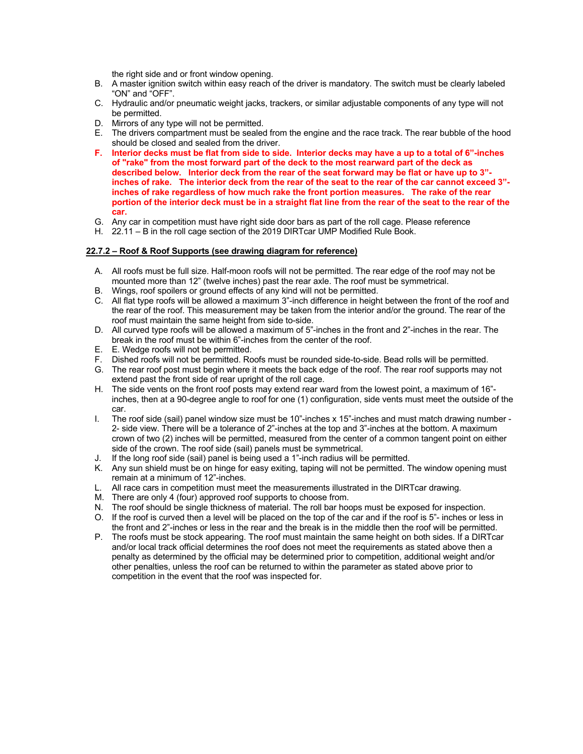the right side and or front window opening.

- B. A master ignition switch within easy reach of the driver is mandatory. The switch must be clearly labeled "ON" and "OFF".
- C. Hydraulic and/or pneumatic weight jacks, trackers, or similar adjustable components of any type will not be permitted.
- D. Mirrors of any type will not be permitted.
- E. The drivers compartment must be sealed from the engine and the race track. The rear bubble of the hood should be closed and sealed from the driver.
- **F. Interior decks must be flat from side to side. Interior decks may have a up to a total of 6"-inches of "rake" from the most forward part of the deck to the most rearward part of the deck as described below. Interior deck from the rear of the seat forward may be flat or have up to 3" inches of rake. The interior deck from the rear of the seat to the rear of the car cannot exceed 3" inches of rake regardless of how much rake the front portion measures. The rake of the rear portion of the interior deck must be in a straight flat line from the rear of the seat to the rear of the car.**
- G. Any car in competition must have right side door bars as part of the roll cage. Please reference
- H. 22.11 B in the roll cage section of the 2019 DIRTcar UMP Modified Rule Book.

#### **22.7.2 – Roof & Roof Supports (see drawing diagram for reference)**

- A. All roofs must be full size. Half-moon roofs will not be permitted. The rear edge of the roof may not be mounted more than 12" (twelve inches) past the rear axle. The roof must be symmetrical.
- B. Wings, roof spoilers or ground effects of any kind will not be permitted.
- C. All flat type roofs will be allowed a maximum 3"-inch difference in height between the front of the roof and the rear of the roof. This measurement may be taken from the interior and/or the ground. The rear of the roof must maintain the same height from side to-side.
- D. All curved type roofs will be allowed a maximum of 5"-inches in the front and 2"-inches in the rear. The break in the roof must be within 6"-inches from the center of the roof.
- E. E. Wedge roofs will not be permitted.
- F. Dished roofs will not be permitted. Roofs must be rounded side-to-side. Bead rolls will be permitted.
- G. The rear roof post must begin where it meets the back edge of the roof. The rear roof supports may not extend past the front side of rear upright of the roll cage.
- H. The side vents on the front roof posts may extend rear ward from the lowest point, a maximum of 16" inches, then at a 90-degree angle to roof for one (1) configuration, side vents must meet the outside of the car.
- I. The roof side (sail) panel window size must be 10"-inches x 15"-inches and must match drawing number 2- side view. There will be a tolerance of 2"-inches at the top and 3"-inches at the bottom. A maximum crown of two (2) inches will be permitted, measured from the center of a common tangent point on either side of the crown. The roof side (sail) panels must be symmetrical.
- J. If the long roof side (sail) panel is being used a 1"-inch radius will be permitted.
- K. Any sun shield must be on hinge for easy exiting, taping will not be permitted. The window opening must remain at a minimum of 12"-inches.
- L. All race cars in competition must meet the measurements illustrated in the DIRTcar drawing.
- M. There are only 4 (four) approved roof supports to choose from.
- N. The roof should be single thickness of material. The roll bar hoops must be exposed for inspection.
- O. If the roof is curved then a level will be placed on the top of the car and if the roof is 5"- inches or less in the front and 2"-inches or less in the rear and the break is in the middle then the roof will be permitted.
- P. The roofs must be stock appearing. The roof must maintain the same height on both sides. If a DIRTcar and/or local track official determines the roof does not meet the requirements as stated above then a penalty as determined by the official may be determined prior to competition, additional weight and/or other penalties, unless the roof can be returned to within the parameter as stated above prior to competition in the event that the roof was inspected for.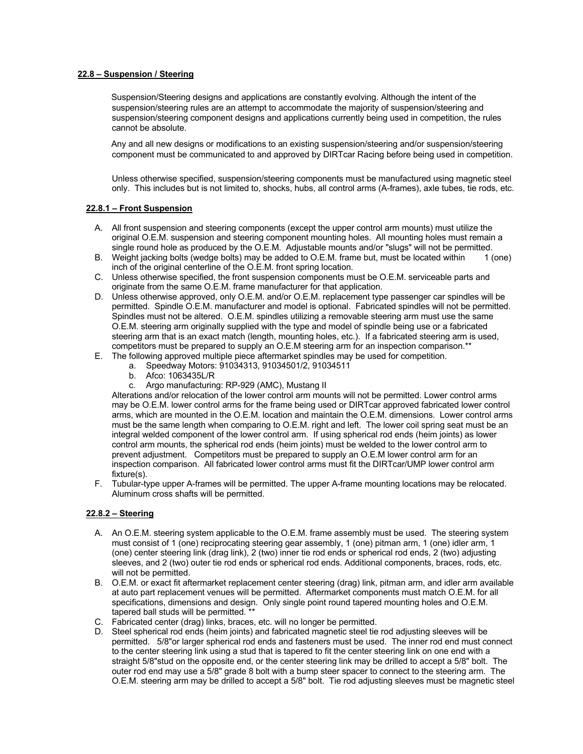#### **22.8 – Suspension / Steering**

Suspension/Steering designs and applications are constantly evolving. Although the intent of the suspension/steering rules are an attempt to accommodate the majority of suspension/steering and suspension/steering component designs and applications currently being used in competition, the rules cannot be absolute.

Any and all new designs or modifications to an existing suspension/steering and/or suspension/steering component must be communicated to and approved by DIRTcar Racing before being used in competition.

Unless otherwise specified, suspension/steering components must be manufactured using magnetic steel only. This includes but is not limited to, shocks, hubs, all control arms (A-frames), axle tubes, tie rods, etc.

#### **22.8.1 – Front Suspension**

- A. All front suspension and steering components (except the upper control arm mounts) must utilize the original O.E.M. suspension and steering component mounting holes. All mounting holes must remain a single round hole as produced by the O.E.M. Adjustable mounts and/or "slugs" will not be permitted.
- B. Weight jacking bolts (wedge bolts) may be added to O.E.M. frame but, must be located within 1 (one) inch of the original centerline of the O.E.M. front spring location.
- C. Unless otherwise specified, the front suspension components must be O.E.M. serviceable parts and originate from the same O.E.M. frame manufacturer for that application.
- D. Unless otherwise approved, only O.E.M. and/or O.E.M. replacement type passenger car spindles will be permitted. Spindle O.E.M. manufacturer and model is optional. Fabricated spindles will not be permitted. Spindles must not be altered. O.E.M. spindles utilizing a removable steering arm must use the same O.E.M. steering arm originally supplied with the type and model of spindle being use or a fabricated steering arm that is an exact match (length, mounting holes, etc.). If a fabricated steering arm is used, competitors must be prepared to supply an O.E.M steering arm for an inspection comparison.\*\*
- E. The following approved multiple piece aftermarket spindles may be used for competition.
	- a. Speedway Motors: 91034313, 91034501/2, 91034511
	- b. Afco: 1063435L/R
	- c. Argo manufacturing: RP-929 (AMC), Mustang II

Alterations and/or relocation of the lower control arm mounts will not be permitted. Lower control arms may be O.E.M. lower control arms for the frame being used or DIRTcar approved fabricated lower control arms, which are mounted in the O.E.M. location and maintain the O.E.M. dimensions. Lower control arms must be the same length when comparing to O.E.M. right and left. The lower coil spring seat must be an integral welded component of the lower control arm. If using spherical rod ends (heim joints) as lower control arm mounts, the spherical rod ends (heim joints) must be welded to the lower control arm to prevent adjustment. Competitors must be prepared to supply an O.E.M lower control arm for an inspection comparison. All fabricated lower control arms must fit the DIRTcar/UMP lower control arm fixture(s).

F. Tubular-type upper A-frames will be permitted. The upper A-frame mounting locations may be relocated. Aluminum cross shafts will be permitted.

#### **22.8.2 – Steering**

- A. An O.E.M. steering system applicable to the O.E.M. frame assembly must be used. The steering system must consist of 1 (one) reciprocating steering gear assembly, 1 (one) pitman arm, 1 (one) idler arm, 1 (one) center steering link (drag link), 2 (two) inner tie rod ends or spherical rod ends, 2 (two) adjusting sleeves, and 2 (two) outer tie rod ends or spherical rod ends. Additional components, braces, rods, etc. will not be permitted.
- B. O.E.M. or exact fit aftermarket replacement center steering (drag) link, pitman arm, and idler arm available at auto part replacement venues will be permitted. Aftermarket components must match O.E.M. for all specifications, dimensions and design. Only single point round tapered mounting holes and O.E.M. tapered ball studs will be permitted. \*\*
- C. Fabricated center (drag) links, braces, etc. will no longer be permitted.
- D. Steel spherical rod ends (heim joints) and fabricated magnetic steel tie rod adjusting sleeves will be permitted. 5/8"or larger spherical rod ends and fasteners must be used. The inner rod end must connect to the center steering link using a stud that is tapered to fit the center steering link on one end with a straight 5/8"stud on the opposite end, or the center steering link may be drilled to accept a 5/8" bolt. The outer rod end may use a 5/8" grade 8 bolt with a bump steer spacer to connect to the steering arm. The O.E.M. steering arm may be drilled to accept a 5/8" bolt. Tie rod adjusting sleeves must be magnetic steel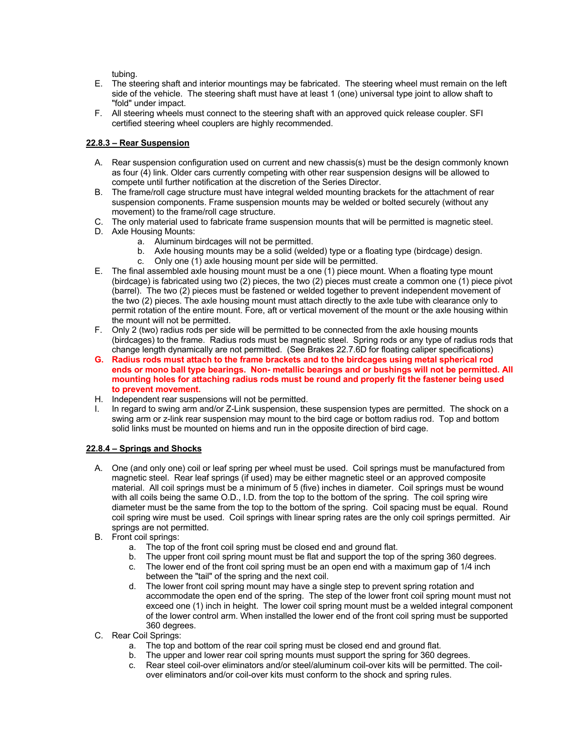tubing.

- E. The steering shaft and interior mountings may be fabricated. The steering wheel must remain on the left side of the vehicle. The steering shaft must have at least 1 (one) universal type joint to allow shaft to "fold" under impact.
- F. All steering wheels must connect to the steering shaft with an approved quick release coupler. SFI certified steering wheel couplers are highly recommended.

#### **22.8.3 – Rear Suspension**

- A. Rear suspension configuration used on current and new chassis(s) must be the design commonly known as four (4) link. Older cars currently competing with other rear suspension designs will be allowed to compete until further notification at the discretion of the Series Director.
- B. The frame/roll cage structure must have integral welded mounting brackets for the attachment of rear suspension components. Frame suspension mounts may be welded or bolted securely (without any movement) to the frame/roll cage structure.
- C. The only material used to fabricate frame suspension mounts that will be permitted is magnetic steel.
- D. Axle Housing Mounts:
	- a. Aluminum birdcages will not be permitted.
	- b. Axle housing mounts may be a solid (welded) type or a floating type (birdcage) design.
	- c. Only one (1) axle housing mount per side will be permitted.
- E. The final assembled axle housing mount must be a one (1) piece mount. When a floating type mount (birdcage) is fabricated using two (2) pieces, the two (2) pieces must create a common one (1) piece pivot (barrel). The two (2) pieces must be fastened or welded together to prevent independent movement of the two (2) pieces. The axle housing mount must attach directly to the axle tube with clearance only to permit rotation of the entire mount. Fore, aft or vertical movement of the mount or the axle housing within the mount will not be permitted.
- F. Only 2 (two) radius rods per side will be permitted to be connected from the axle housing mounts (birdcages) to the frame. Radius rods must be magnetic steel. Spring rods or any type of radius rods that change length dynamically are not permitted. (See Brakes 22.7.6D for floating caliper specifications)
- **G. Radius rods must attach to the frame brackets and to the birdcages using metal spherical rod ends or mono ball type bearings. Non- metallic bearings and or bushings will not be permitted. All mounting holes for attaching radius rods must be round and properly fit the fastener being used to prevent movement.**
- H. Independent rear suspensions will not be permitted.
- In regard to swing arm and/or Z-Link suspension, these suspension types are permitted. The shock on a swing arm or z-link rear suspension may mount to the bird cage or bottom radius rod. Top and bottom solid links must be mounted on hiems and run in the opposite direction of bird cage.

#### **22.8.4 – Springs and Shocks**

- A. One (and only one) coil or leaf spring per wheel must be used. Coil springs must be manufactured from magnetic steel. Rear leaf springs (if used) may be either magnetic steel or an approved composite material. All coil springs must be a minimum of 5 (five) inches in diameter. Coil springs must be wound with all coils being the same O.D., I.D. from the top to the bottom of the spring. The coil spring wire diameter must be the same from the top to the bottom of the spring. Coil spacing must be equal. Round coil spring wire must be used. Coil springs with linear spring rates are the only coil springs permitted. Air springs are not permitted.
- B. Front coil springs:
	- a. The top of the front coil spring must be closed end and ground flat.
	- b. The upper front coil spring mount must be flat and support the top of the spring 360 degrees.
	- c. The lower end of the front coil spring must be an open end with a maximum gap of 1/4 inch between the "tail" of the spring and the next coil.
	- d. The lower front coil spring mount may have a single step to prevent spring rotation and accommodate the open end of the spring. The step of the lower front coil spring mount must not exceed one (1) inch in height. The lower coil spring mount must be a welded integral component of the lower control arm. When installed the lower end of the front coil spring must be supported 360 degrees.
- C. Rear Coil Springs:
	- a. The top and bottom of the rear coil spring must be closed end and ground flat.
	- b. The upper and lower rear coil spring mounts must support the spring for 360 degrees.
	- c. Rear steel coil-over eliminators and/or steel/aluminum coil-over kits will be permitted. The coilover eliminators and/or coil-over kits must conform to the shock and spring rules.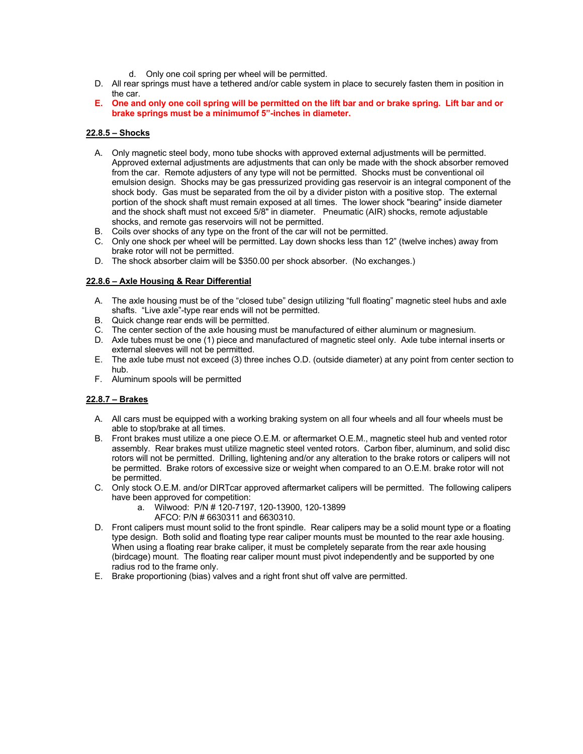- d. Only one coil spring per wheel will be permitted.
- D. All rear springs must have a tethered and/or cable system in place to securely fasten them in position in the car.
- **E. One and only one coil spring will be permitted on the lift bar and or brake spring. Lift bar and or brake springs must be a minimumof 5"-inches in diameter.**

#### **22.8.5 – Shocks**

- A. Only magnetic steel body, mono tube shocks with approved external adjustments will be permitted. Approved external adjustments are adjustments that can only be made with the shock absorber removed from the car. Remote adjusters of any type will not be permitted. Shocks must be conventional oil emulsion design. Shocks may be gas pressurized providing gas reservoir is an integral component of the shock body. Gas must be separated from the oil by a divider piston with a positive stop. The external portion of the shock shaft must remain exposed at all times. The lower shock "bearing" inside diameter and the shock shaft must not exceed 5/8" in diameter. Pneumatic (AIR) shocks, remote adjustable shocks, and remote gas reservoirs will not be permitted.
- B. Coils over shocks of any type on the front of the car will not be permitted.
- C. Only one shock per wheel will be permitted. Lay down shocks less than 12" (twelve inches) away from brake rotor will not be permitted.
- D. The shock absorber claim will be \$350.00 per shock absorber. (No exchanges.)

#### **22.8.6 – Axle Housing & Rear Differential**

- A. The axle housing must be of the "closed tube" design utilizing "full floating" magnetic steel hubs and axle shafts. "Live axle"-type rear ends will not be permitted.
- B. Quick change rear ends will be permitted.
- C. The center section of the axle housing must be manufactured of either aluminum or magnesium.
- D. Axle tubes must be one (1) piece and manufactured of magnetic steel only. Axle tube internal inserts or external sleeves will not be permitted.
- E. The axle tube must not exceed (3) three inches O.D. (outside diameter) at any point from center section to hub.
- F. Aluminum spools will be permitted

#### **22.8.7 – Brakes**

- A. All cars must be equipped with a working braking system on all four wheels and all four wheels must be able to stop/brake at all times.
- B. Front brakes must utilize a one piece O.E.M. or aftermarket O.E.M., magnetic steel hub and vented rotor assembly. Rear brakes must utilize magnetic steel vented rotors. Carbon fiber, aluminum, and solid disc rotors will not be permitted. Drilling, lightening and/or any alteration to the brake rotors or calipers will not be permitted. Brake rotors of excessive size or weight when compared to an O.E.M. brake rotor will not be permitted.
- C. Only stock O.E.M. and/or DIRTcar approved aftermarket calipers will be permitted. The following calipers have been approved for competition:
	- a. Wilwood: P/N # 120-7197, 120-13900, 120-13899
		- AFCO: P/N # 6630311 and 6630310.
- D. Front calipers must mount solid to the front spindle. Rear calipers may be a solid mount type or a floating type design. Both solid and floating type rear caliper mounts must be mounted to the rear axle housing. When using a floating rear brake caliper, it must be completely separate from the rear axle housing (birdcage) mount. The floating rear caliper mount must pivot independently and be supported by one radius rod to the frame only.
- E. Brake proportioning (bias) valves and a right front shut off valve are permitted.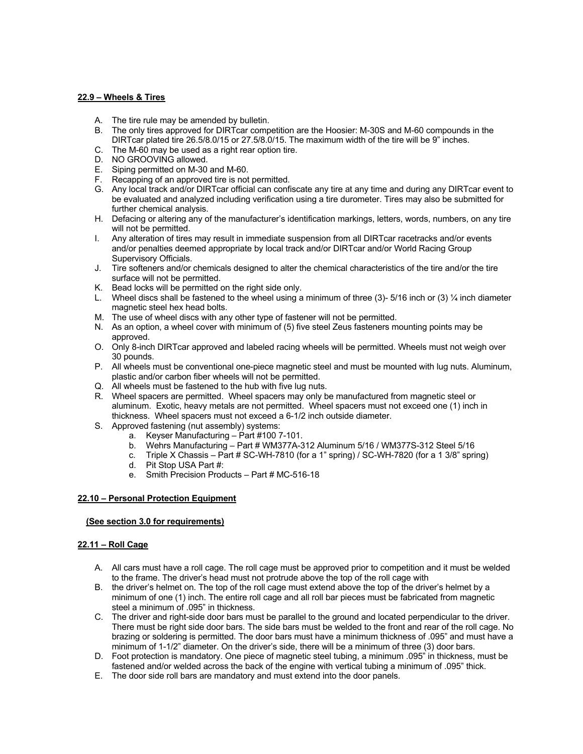#### **22.9 – Wheels & Tires**

- A. The tire rule may be amended by bulletin.<br>B. The only tires approved for DIRTcar comp
- The only tires approved for DIRTcar competition are the Hoosier: M-30S and M-60 compounds in the DIRTcar plated tire 26.5/8.0/15 or 27.5/8.0/15. The maximum width of the tire will be 9" inches.
- C. The M-60 may be used as a right rear option tire.
- D. NO GROOVING allowed.
- E. Siping permitted on M-30 and M-60.
- F. Recapping of an approved tire is not permitted.
- G. Any local track and/or DIRTcar official can confiscate any tire at any time and during any DIRTcar event to be evaluated and analyzed including verification using a tire durometer. Tires may also be submitted for further chemical analysis.
- H. Defacing or altering any of the manufacturer's identification markings, letters, words, numbers, on any tire will not be permitted.
- I. Any alteration of tires may result in immediate suspension from all DIRTcar racetracks and/or events and/or penalties deemed appropriate by local track and/or DIRTcar and/or World Racing Group Supervisory Officials.
- J. Tire softeners and/or chemicals designed to alter the chemical characteristics of the tire and/or the tire surface will not be permitted.
- K. Bead locks will be permitted on the right side only.
- L. Wheel discs shall be fastened to the wheel using a minimum of three (3)-5/16 inch or (3)  $\frac{1}{4}$  inch diameter magnetic steel hex head bolts.
- M. The use of wheel discs with any other type of fastener will not be permitted.
- N. As an option, a wheel cover with minimum of (5) five steel Zeus fasteners mounting points may be approved.
- O. Only 8-inch DIRTcar approved and labeled racing wheels will be permitted. Wheels must not weigh over 30 pounds.
- P. All wheels must be conventional one-piece magnetic steel and must be mounted with lug nuts. Aluminum, plastic and/or carbon fiber wheels will not be permitted.
- Q. All wheels must be fastened to the hub with five lug nuts.
- R. Wheel spacers are permitted. Wheel spacers may only be manufactured from magnetic steel or aluminum. Exotic, heavy metals are not permitted. Wheel spacers must not exceed one (1) inch in thickness. Wheel spacers must not exceed a 6-1/2 inch outside diameter.
- S. Approved fastening (nut assembly) systems:
	- a. Keyser Manufacturing Part #100 7-101.
		- b. Wehrs Manufacturing Part # WM377A-312 Aluminum 5/16 / WM377S-312 Steel 5/16
		- c. Triple X Chassis Part # SC-WH-7810 (for a 1" spring) / SC-WH-7820 (for a 1 3/8" spring)
		- d. Pit Stop USA Part #:
		- e. Smith Precision Products Part # MC-516-18

#### **22.10 – Personal Protection Equipment**

#### **(See section 3.0 for requirements)**

#### **22.11 – Roll Cage**

- A. All cars must have a roll cage. The roll cage must be approved prior to competition and it must be welded to the frame. The driver's head must not protrude above the top of the roll cage with
- B. the driver's helmet on. The top of the roll cage must extend above the top of the driver's helmet by a minimum of one (1) inch. The entire roll cage and all roll bar pieces must be fabricated from magnetic steel a minimum of .095" in thickness.
- C. The driver and right-side door bars must be parallel to the ground and located perpendicular to the driver. There must be right side door bars. The side bars must be welded to the front and rear of the roll cage. No brazing or soldering is permitted. The door bars must have a minimum thickness of .095" and must have a minimum of 1-1/2" diameter. On the driver's side, there will be a minimum of three (3) door bars.
- D. Foot protection is mandatory. One piece of magnetic steel tubing, a minimum .095" in thickness, must be fastened and/or welded across the back of the engine with vertical tubing a minimum of .095" thick.
- E. The door side roll bars are mandatory and must extend into the door panels.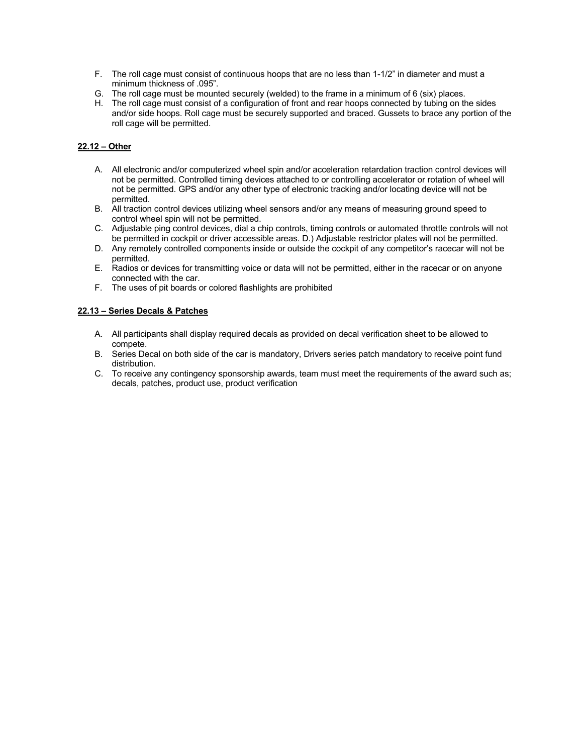- F. The roll cage must consist of continuous hoops that are no less than 1-1/2" in diameter and must a minimum thickness of .095".
- G. The roll cage must be mounted securely (welded) to the frame in a minimum of 6 (six) places.
- H. The roll cage must consist of a configuration of front and rear hoops connected by tubing on the sides and/or side hoops. Roll cage must be securely supported and braced. Gussets to brace any portion of the roll cage will be permitted.

#### **22.12 – Other**

- A. All electronic and/or computerized wheel spin and/or acceleration retardation traction control devices will not be permitted. Controlled timing devices attached to or controlling accelerator or rotation of wheel will not be permitted. GPS and/or any other type of electronic tracking and/or locating device will not be permitted.
- B. All traction control devices utilizing wheel sensors and/or any means of measuring ground speed to control wheel spin will not be permitted.
- C. Adjustable ping control devices, dial a chip controls, timing controls or automated throttle controls will not be permitted in cockpit or driver accessible areas. D.) Adjustable restrictor plates will not be permitted.
- D. Any remotely controlled components inside or outside the cockpit of any competitor's racecar will not be permitted.
- E. Radios or devices for transmitting voice or data will not be permitted, either in the racecar or on anyone connected with the car.
- F. The uses of pit boards or colored flashlights are prohibited

#### **22.13 – Series Decals & Patches**

- A. All participants shall display required decals as provided on decal verification sheet to be allowed to compete.
- B. Series Decal on both side of the car is mandatory, Drivers series patch mandatory to receive point fund distribution.
- C. To receive any contingency sponsorship awards, team must meet the requirements of the award such as; decals, patches, product use, product verification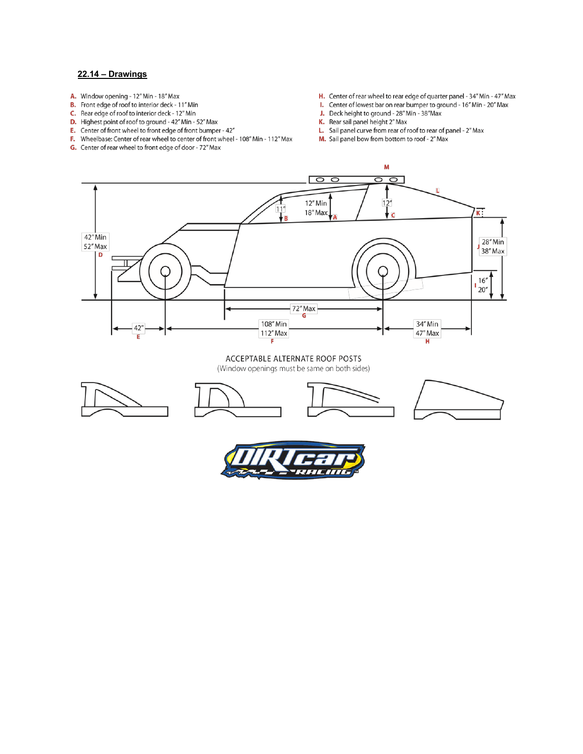#### **22.14 – Drawings**

- A. Window opening 12" Min 18" Max
- **B.** Front edge of roof to interior deck 11" Min
- C. Rear edge of roof to interior deck 12" Min
- **D.** Highest point of roof to ground 42" Min 52" Max
- E. Center of front wheel to front edge of front bumper 42"
- F. Wheelbase: Center of rear wheel to center of front wheel 108" Min 112" Max
- G. Center of rear wheel to front edge of door 72" Max
- H. Center of rear wheel to rear edge of quarter panel 34" Min 47" Max
- I. Center of lowest bar on rear bumper to ground 16" Min 20" Max
- J. Deck height to ground 28" Min 38" Max
- K. Rear sail panel height 2" Max
- L. Sail panel curve from rear of roof to rear of panel 2" Max
- M. Sail panel bow from bottom to roof 2" Max



#### ACCEPTABLE ALTERNATE ROOF POSTS

(Window openings must be same on both sides)